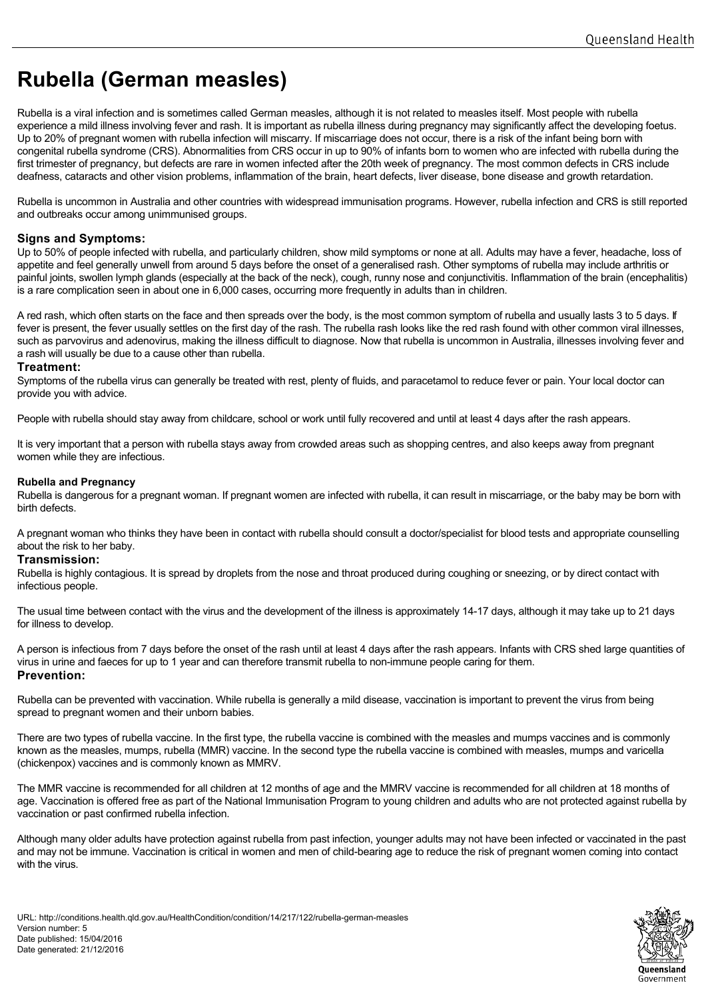# **Rubella (German measles)**

Rubella is a viral infection and is sometimes called German measles, although it is not related to measles itself. Most people with rubella experience a mild illness involving fever and rash. It is important as rubella illness during pregnancy may significantly affect the developing foetus. Up to 20% of pregnant women with rubella infection will miscarry. If miscarriage does not occur, there is a risk of the infant being born with congenital rubella syndrome (CRS). Abnormalities from CRS occur in up to 90% of infants born to women who are infected with rubella during the first trimester of pregnancy, but defects are rare in women infected after the 20th week of pregnancy. The most common defects in CRS include deafness, cataracts and other vision problems, inflammation of the brain, heart defects, liver disease, bone disease and growth retardation.

Rubella is uncommon in Australia and other countries with widespread immunisation programs. However, rubella infection and CRS is still reported and outbreaks occur among unimmunised groups.

# **Signs and Symptoms:**

Up to 50% of people infected with rubella, and particularly children, show mild symptoms or none at all. Adults may have a fever, headache, loss of appetite and feel generally unwell from around 5 days before the onset of a generalised rash. Other symptoms of rubella may include arthritis or painful joints, swollen lymph glands (especially at the back of the neck), cough, runny nose and conjunctivitis. Inflammation of the brain (encephalitis) is a rare complication seen in about one in 6,000 cases, occurring more frequently in adults than in children.

A red rash, which often starts on the face and then spreads over the body, is the most common symptom of rubella and usually lasts 3 to 5 days. If fever is present, the fever usually settles on the first day of the rash. The rubella rash looks like the red rash found with other common viral illnesses, such as parvovirus and adenovirus, making the illness difficult to diagnose. Now that rubella is uncommon in Australia, illnesses involving fever and a rash will usually be due to a cause other than rubella.

## **Treatment:**

Symptoms of the rubella virus can generally be treated with rest, plenty of fluids, and paracetamol to reduce fever or pain. Your local doctor can provide you with advice.

People with rubella should stay away from childcare, school or work until fully recovered and until at least 4 days after the rash appears.

It is very important that a person with rubella stays away from crowded areas such as shopping centres, and also keeps away from pregnant women while they are infectious.

## **Rubella and Pregnancy**

Rubella is dangerous for a pregnant woman. If pregnant women are infected with rubella, it can result in miscarriage, or the baby may be born with birth defects.

A pregnant woman who thinks they have been in contact with rubella should consult a doctor/specialist for blood tests and appropriate counselling about the risk to her baby.

## **Transmission:**

Rubella is highly contagious. It is spread by droplets from the nose and throat produced during coughing or sneezing, or by direct contact with infectious people.

The usual time between contact with the virus and the development of the illness is approximately 14-17 days, although it may take up to 21 days for illness to develop.

A person is infectious from 7 days before the onset of the rash until at least 4 days after the rash appears. Infants with CRS shed large quantities of virus in urine and faeces for up to 1 year and can therefore transmit rubella to non-immune people caring for them. **Prevention:** 

Rubella can be prevented with vaccination. While rubella is generally a mild disease, vaccination is important to prevent the virus from being spread to pregnant women and their unborn babies.

There are two types of rubella vaccine. In the first type, the rubella vaccine is combined with the measles and mumps vaccines and is commonly known as the measles, mumps, rubella (MMR) vaccine. In the second type the rubella vaccine is combined with measles, mumps and varicella (chickenpox) vaccines and is commonly known as MMRV.

The MMR vaccine is recommended for all children at 12 months of age and the MMRV vaccine is recommended for all children at 18 months of age. Vaccination is offered free as part of the National Immunisation Program to young children and adults who are not protected against rubella by vaccination or past confirmed rubella infection.

Although many older adults have protection against rubella from past infection, younger adults may not have been infected or vaccinated in the past and may not be immune. Vaccination is critical in women and men of child-bearing age to reduce the risk of pregnant women coming into contact with the virus.